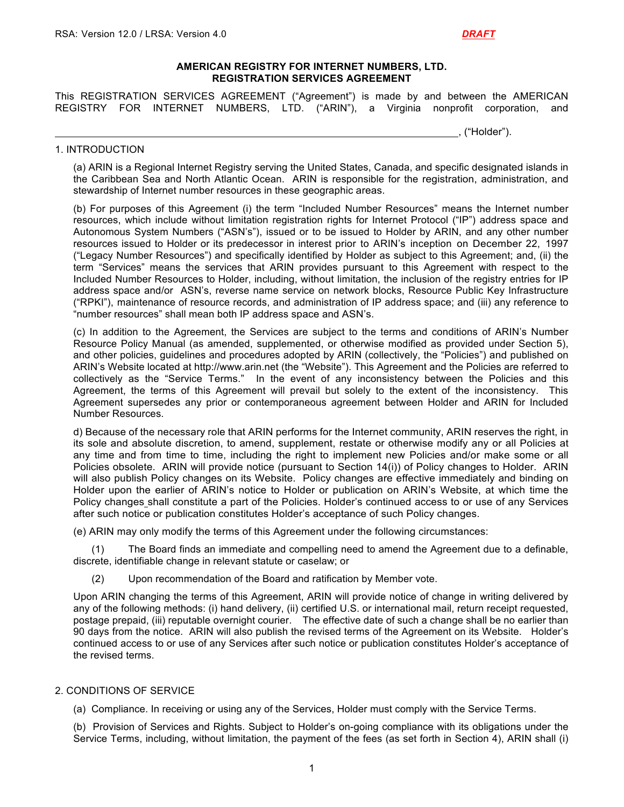#### **AMERICAN REGISTRY FOR INTERNET NUMBERS, LTD. REGISTRATION SERVICES AGREEMENT**

This REGISTRATION SERVICES AGREEMENT ("Agreement") is made by and between the AMERICAN REGISTRY FOR INTERNET NUMBERS, LTD. ("ARIN"), a Virginia nonprofit corporation, and

#### , ("Holder").

#### 1. INTRODUCTION

(a) ARIN is a Regional Internet Registry serving the United States, Canada, and specific designated islands in the Caribbean Sea and North Atlantic Ocean. ARIN is responsible for the registration, administration, and stewardship of Internet number resources in these geographic areas.

(b) For purposes of this Agreement (i) the term "Included Number Resources" means the Internet number resources, which include without limitation registration rights for Internet Protocol ("IP") address space and Autonomous System Numbers ("ASN's"), issued or to be issued to Holder by ARIN, and any other number resources issued to Holder or its predecessor in interest prior to ARIN's inception on December 22, 1997 ("Legacy Number Resources") and specifically identified by Holder as subject to this Agreement; and, (ii) the term "Services" means the services that ARIN provides pursuant to this Agreement with respect to the Included Number Resources to Holder, including, without limitation, the inclusion of the registry entries for IP address space and/or ASN's, reverse name service on network blocks, Resource Public Key Infrastructure ("RPKI"), maintenance of resource records, and administration of IP address space; and (iii) any reference to "number resources" shall mean both IP address space and ASN's.

(c) In addition to the Agreement, the Services are subject to the terms and conditions of ARIN's Number Resource Policy Manual (as amended, supplemented, or otherwise modified as provided under Section 5), and other policies, guidelines and procedures adopted by ARIN (collectively, the "Policies") and published on ARIN's Website located at http://www.arin.net (the "Website"). This Agreement and the Policies are referred to collectively as the "Service Terms." In the event of any inconsistency between the Policies and this Agreement, the terms of this Agreement will prevail but solely to the extent of the inconsistency. This Agreement supersedes any prior or contemporaneous agreement between Holder and ARIN for Included Number Resources.

d) Because of the necessary role that ARIN performs for the Internet community, ARIN reserves the right, in its sole and absolute discretion, to amend, supplement, restate or otherwise modify any or all Policies at any time and from time to time, including the right to implement new Policies and/or make some or all Policies obsolete. ARIN will provide notice (pursuant to Section 14(i)) of Policy changes to Holder. ARIN will also publish Policy changes on its Website. Policy changes are effective immediately and binding on Holder upon the earlier of ARIN's notice to Holder or publication on ARIN's Website, at which time the Policy changes shall constitute a part of the Policies. Holder's continued access to or use of any Services after such notice or publication constitutes Holder's acceptance of such Policy changes.

(e) ARIN may only modify the terms of this Agreement under the following circumstances:

(1) The Board finds an immediate and compelling need to amend the Agreement due to a definable, discrete, identifiable change in relevant statute or caselaw; or

(2) Upon recommendation of the Board and ratification by Member vote.

Upon ARIN changing the terms of this Agreement, ARIN will provide notice of change in writing delivered by any of the following methods: (i) hand delivery, (ii) certified U.S. or international mail, return receipt requested, postage prepaid, (iii) reputable overnight courier. The effective date of such a change shall be no earlier than 90 days from the notice. ARIN will also publish the revised terms of the Agreement on its Website. Holder's continued access to or use of any Services after such notice or publication constitutes Holder's acceptance of the revised terms.

#### 2. CONDITIONS OF SERVICE

(a) Compliance. In receiving or using any of the Services, Holder must comply with the Service Terms.

(b) Provision of Services and Rights. Subject to Holder's on-going compliance with its obligations under the Service Terms, including, without limitation, the payment of the fees (as set forth in Section 4), ARIN shall (i)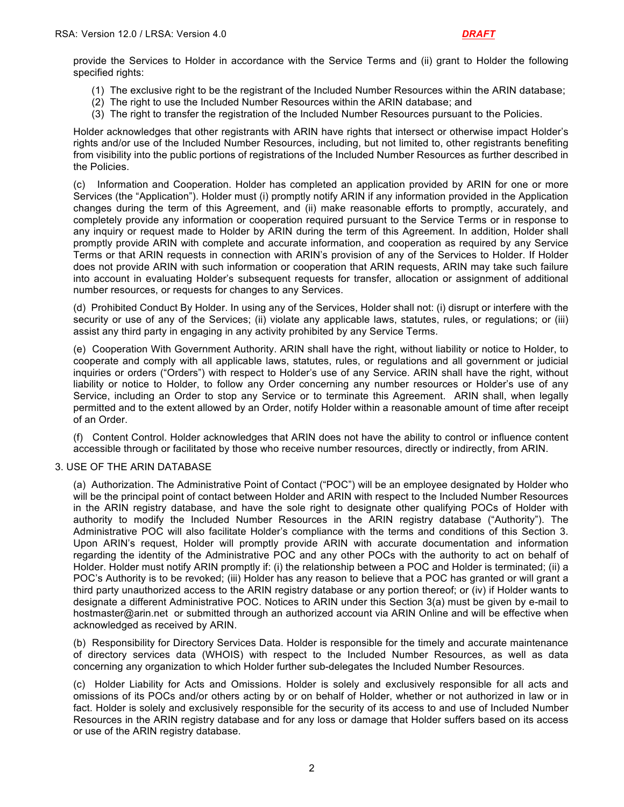provide the Services to Holder in accordance with the Service Terms and (ii) grant to Holder the following specified rights:

- (1) The exclusive right to be the registrant of the Included Number Resources within the ARIN database;
- (2) The right to use the Included Number Resources within the ARIN database; and
- (3) The right to transfer the registration of the Included Number Resources pursuant to the Policies.

Holder acknowledges that other registrants with ARIN have rights that intersect or otherwise impact Holder's rights and/or use of the Included Number Resources, including, but not limited to, other registrants benefiting from visibility into the public portions of registrations of the Included Number Resources as further described in the Policies.

(c) Information and Cooperation. Holder has completed an application provided by ARIN for one or more Services (the "Application"). Holder must (i) promptly notify ARIN if any information provided in the Application changes during the term of this Agreement, and (ii) make reasonable efforts to promptly, accurately, and completely provide any information or cooperation required pursuant to the Service Terms or in response to any inquiry or request made to Holder by ARIN during the term of this Agreement. In addition, Holder shall promptly provide ARIN with complete and accurate information, and cooperation as required by any Service Terms or that ARIN requests in connection with ARIN's provision of any of the Services to Holder. If Holder does not provide ARIN with such information or cooperation that ARIN requests, ARIN may take such failure into account in evaluating Holder's subsequent requests for transfer, allocation or assignment of additional number resources, or requests for changes to any Services.

(d) Prohibited Conduct By Holder. In using any of the Services, Holder shall not: (i) disrupt or interfere with the security or use of any of the Services; (ii) violate any applicable laws, statutes, rules, or regulations; or (iii) assist any third party in engaging in any activity prohibited by any Service Terms.

(e) Cooperation With Government Authority. ARIN shall have the right, without liability or notice to Holder, to cooperate and comply with all applicable laws, statutes, rules, or regulations and all government or judicial inquiries or orders ("Orders") with respect to Holder's use of any Service. ARIN shall have the right, without liability or notice to Holder, to follow any Order concerning any number resources or Holder's use of any Service, including an Order to stop any Service or to terminate this Agreement. ARIN shall, when legally permitted and to the extent allowed by an Order, notify Holder within a reasonable amount of time after receipt of an Order.

(f) Content Control. Holder acknowledges that ARIN does not have the ability to control or influence content accessible through or facilitated by those who receive number resources, directly or indirectly, from ARIN.

#### 3. USE OF THE ARIN DATABASE

(a) Authorization. The Administrative Point of Contact ("POC") will be an employee designated by Holder who will be the principal point of contact between Holder and ARIN with respect to the Included Number Resources in the ARIN registry database, and have the sole right to designate other qualifying POCs of Holder with authority to modify the Included Number Resources in the ARIN registry database ("Authority"). The Administrative POC will also facilitate Holder's compliance with the terms and conditions of this Section 3. Upon ARIN's request, Holder will promptly provide ARIN with accurate documentation and information regarding the identity of the Administrative POC and any other POCs with the authority to act on behalf of Holder. Holder must notify ARIN promptly if: (i) the relationship between a POC and Holder is terminated; (ii) a POC's Authority is to be revoked; (iii) Holder has any reason to believe that a POC has granted or will grant a third party unauthorized access to the ARIN registry database or any portion thereof; or (iv) if Holder wants to designate a different Administrative POC. Notices to ARIN under this Section 3(a) must be given by e-mail to hostmaster@arin.net or submitted through an authorized account via ARIN Online and will be effective when acknowledged as received by ARIN.

(b) Responsibility for Directory Services Data. Holder is responsible for the timely and accurate maintenance of directory services data (WHOIS) with respect to the Included Number Resources, as well as data concerning any organization to which Holder further sub-delegates the Included Number Resources.

(c) Holder Liability for Acts and Omissions. Holder is solely and exclusively responsible for all acts and omissions of its POCs and/or others acting by or on behalf of Holder, whether or not authorized in law or in fact. Holder is solely and exclusively responsible for the security of its access to and use of Included Number Resources in the ARIN registry database and for any loss or damage that Holder suffers based on its access or use of the ARIN registry database.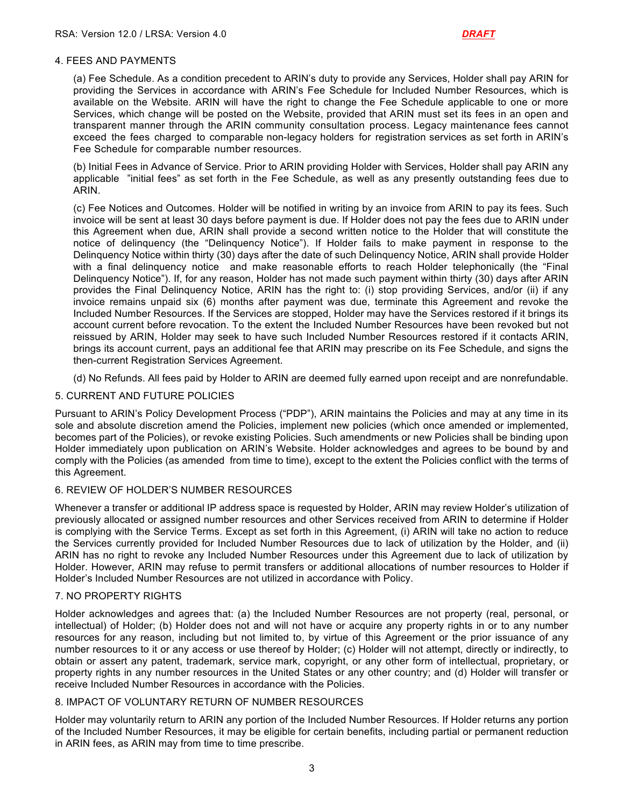#### 4. FEES AND PAYMENTS

(a) Fee Schedule. As a condition precedent to ARIN's duty to provide any Services, Holder shall pay ARIN for providing the Services in accordance with ARIN's Fee Schedule for Included Number Resources, which is available on the Website. ARIN will have the right to change the Fee Schedule applicable to one or more Services, which change will be posted on the Website, provided that ARIN must set its fees in an open and transparent manner through the ARIN community consultation process. Legacy maintenance fees cannot exceed the fees charged to comparable non-legacy holders for registration services as set forth in ARIN's Fee Schedule for comparable number resources.

(b) Initial Fees in Advance of Service. Prior to ARIN providing Holder with Services, Holder shall pay ARIN any applicable "initial fees" as set forth in the Fee Schedule, as well as any presently outstanding fees due to ARIN.

(c) Fee Notices and Outcomes. Holder will be notified in writing by an invoice from ARIN to pay its fees. Such invoice will be sent at least 30 days before payment is due. If Holder does not pay the fees due to ARIN under this Agreement when due, ARIN shall provide a second written notice to the Holder that will constitute the notice of delinquency (the "Delinquency Notice"). If Holder fails to make payment in response to the Delinquency Notice within thirty (30) days after the date of such Delinquency Notice, ARIN shall provide Holder with a final delinquency notice and make reasonable efforts to reach Holder telephonically (the "Final Delinquency Notice"). If, for any reason, Holder has not made such payment within thirty (30) days after ARIN provides the Final Delinquency Notice, ARIN has the right to: (i) stop providing Services, and/or (ii) if any invoice remains unpaid six (6) months after payment was due, terminate this Agreement and revoke the Included Number Resources. If the Services are stopped, Holder may have the Services restored if it brings its account current before revocation. To the extent the Included Number Resources have been revoked but not reissued by ARIN, Holder may seek to have such Included Number Resources restored if it contacts ARIN, brings its account current, pays an additional fee that ARIN may prescribe on its Fee Schedule, and signs the then-current Registration Services Agreement.

(d) No Refunds. All fees paid by Holder to ARIN are deemed fully earned upon receipt and are nonrefundable.

### 5. CURRENT AND FUTURE POLICIES

Pursuant to ARIN's Policy Development Process ("PDP"), ARIN maintains the Policies and may at any time in its sole and absolute discretion amend the Policies, implement new policies (which once amended or implemented, becomes part of the Policies), or revoke existing Policies. Such amendments or new Policies shall be binding upon Holder immediately upon publication on ARIN's Website. Holder acknowledges and agrees to be bound by and comply with the Policies (as amended from time to time), except to the extent the Policies conflict with the terms of this Agreement.

#### 6. REVIEW OF HOLDER'S NUMBER RESOURCES

Whenever a transfer or additional IP address space is requested by Holder, ARIN may review Holder's utilization of previously allocated or assigned number resources and other Services received from ARIN to determine if Holder is complying with the Service Terms. Except as set forth in this Agreement, (i) ARIN will take no action to reduce the Services currently provided for Included Number Resources due to lack of utilization by the Holder, and (ii) ARIN has no right to revoke any Included Number Resources under this Agreement due to lack of utilization by Holder. However, ARIN may refuse to permit transfers or additional allocations of number resources to Holder if Holder's Included Number Resources are not utilized in accordance with Policy.

#### 7. NO PROPERTY RIGHTS

Holder acknowledges and agrees that: (a) the Included Number Resources are not property (real, personal, or intellectual) of Holder; (b) Holder does not and will not have or acquire any property rights in or to any number resources for any reason, including but not limited to, by virtue of this Agreement or the prior issuance of any number resources to it or any access or use thereof by Holder; (c) Holder will not attempt, directly or indirectly, to obtain or assert any patent, trademark, service mark, copyright, or any other form of intellectual, proprietary, or property rights in any number resources in the United States or any other country; and (d) Holder will transfer or receive Included Number Resources in accordance with the Policies.

#### 8. IMPACT OF VOLUNTARY RETURN OF NUMBER RESOURCES

Holder may voluntarily return to ARIN any portion of the Included Number Resources. If Holder returns any portion of the Included Number Resources, it may be eligible for certain benefits, including partial or permanent reduction in ARIN fees, as ARIN may from time to time prescribe.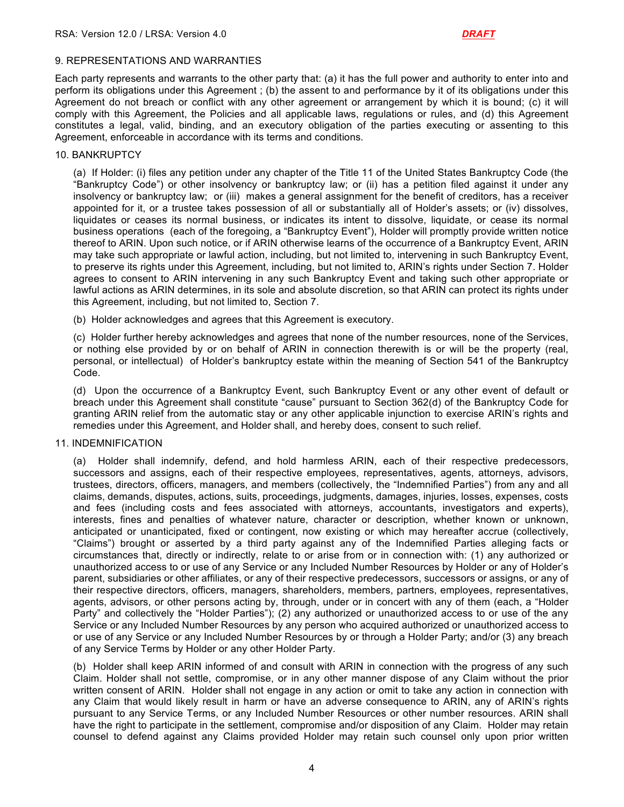#### 9. REPRESENTATIONS AND WARRANTIES

Each party represents and warrants to the other party that: (a) it has the full power and authority to enter into and perform its obligations under this Agreement ; (b) the assent to and performance by it of its obligations under this Agreement do not breach or conflict with any other agreement or arrangement by which it is bound; (c) it will comply with this Agreement, the Policies and all applicable laws, regulations or rules, and (d) this Agreement constitutes a legal, valid, binding, and an executory obligation of the parties executing or assenting to this Agreement, enforceable in accordance with its terms and conditions.

#### 10. BANKRUPTCY

(a) If Holder: (i) files any petition under any chapter of the Title 11 of the United States Bankruptcy Code (the "Bankruptcy Code") or other insolvency or bankruptcy law; or (ii) has a petition filed against it under any insolvency or bankruptcy law; or (iii) makes a general assignment for the benefit of creditors, has a receiver appointed for it, or a trustee takes possession of all or substantially all of Holder's assets; or (iv) dissolves, liquidates or ceases its normal business, or indicates its intent to dissolve, liquidate, or cease its normal business operations (each of the foregoing, a "Bankruptcy Event"), Holder will promptly provide written notice thereof to ARIN. Upon such notice, or if ARIN otherwise learns of the occurrence of a Bankruptcy Event, ARIN may take such appropriate or lawful action, including, but not limited to, intervening in such Bankruptcy Event, to preserve its rights under this Agreement, including, but not limited to, ARIN's rights under Section 7. Holder agrees to consent to ARIN intervening in any such Bankruptcy Event and taking such other appropriate or lawful actions as ARIN determines, in its sole and absolute discretion, so that ARIN can protect its rights under this Agreement, including, but not limited to, Section 7.

(b) Holder acknowledges and agrees that this Agreement is executory.

(c) Holder further hereby acknowledges and agrees that none of the number resources, none of the Services, or nothing else provided by or on behalf of ARIN in connection therewith is or will be the property (real, personal, or intellectual) of Holder's bankruptcy estate within the meaning of Section 541 of the Bankruptcy Code.

(d) Upon the occurrence of a Bankruptcy Event, such Bankruptcy Event or any other event of default or breach under this Agreement shall constitute "cause" pursuant to Section 362(d) of the Bankruptcy Code for granting ARIN relief from the automatic stay or any other applicable injunction to exercise ARIN's rights and remedies under this Agreement, and Holder shall, and hereby does, consent to such relief.

#### 11. INDEMNIFICATION

(a) Holder shall indemnify, defend, and hold harmless ARIN, each of their respective predecessors, successors and assigns, each of their respective employees, representatives, agents, attorneys, advisors, trustees, directors, officers, managers, and members (collectively, the "Indemnified Parties") from any and all claims, demands, disputes, actions, suits, proceedings, judgments, damages, injuries, losses, expenses, costs and fees (including costs and fees associated with attorneys, accountants, investigators and experts), interests, fines and penalties of whatever nature, character or description, whether known or unknown, anticipated or unanticipated, fixed or contingent, now existing or which may hereafter accrue (collectively, "Claims") brought or asserted by a third party against any of the Indemnified Parties alleging facts or circumstances that, directly or indirectly, relate to or arise from or in connection with: (1) any authorized or unauthorized access to or use of any Service or any Included Number Resources by Holder or any of Holder's parent, subsidiaries or other affiliates, or any of their respective predecessors, successors or assigns, or any of their respective directors, officers, managers, shareholders, members, partners, employees, representatives, agents, advisors, or other persons acting by, through, under or in concert with any of them (each, a "Holder Party" and collectively the "Holder Parties"); (2) any authorized or unauthorized access to or use of the any Service or any Included Number Resources by any person who acquired authorized or unauthorized access to or use of any Service or any Included Number Resources by or through a Holder Party; and/or (3) any breach of any Service Terms by Holder or any other Holder Party.

(b) Holder shall keep ARIN informed of and consult with ARIN in connection with the progress of any such Claim. Holder shall not settle, compromise, or in any other manner dispose of any Claim without the prior written consent of ARIN. Holder shall not engage in any action or omit to take any action in connection with any Claim that would likely result in harm or have an adverse consequence to ARIN, any of ARIN's rights pursuant to any Service Terms, or any Included Number Resources or other number resources. ARIN shall have the right to participate in the settlement, compromise and/or disposition of any Claim. Holder may retain counsel to defend against any Claims provided Holder may retain such counsel only upon prior written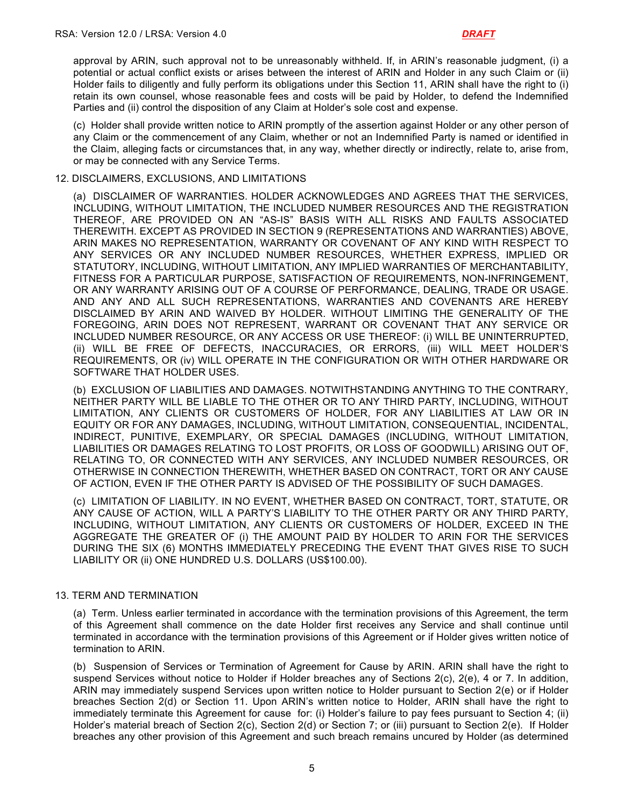approval by ARIN, such approval not to be unreasonably withheld. If, in ARIN's reasonable judgment, (i) a potential or actual conflict exists or arises between the interest of ARIN and Holder in any such Claim or (ii) Holder fails to diligently and fully perform its obligations under this Section 11, ARIN shall have the right to (i) retain its own counsel, whose reasonable fees and costs will be paid by Holder, to defend the Indemnified Parties and (ii) control the disposition of any Claim at Holder's sole cost and expense.

(c) Holder shall provide written notice to ARIN promptly of the assertion against Holder or any other person of any Claim or the commencement of any Claim, whether or not an Indemnified Party is named or identified in the Claim, alleging facts or circumstances that, in any way, whether directly or indirectly, relate to, arise from, or may be connected with any Service Terms.

#### 12. DISCLAIMERS, EXCLUSIONS, AND LIMITATIONS

(a) DISCLAIMER OF WARRANTIES. HOLDER ACKNOWLEDGES AND AGREES THAT THE SERVICES, INCLUDING, WITHOUT LIMITATION, THE INCLUDED NUMBER RESOURCES AND THE REGISTRATION THEREOF, ARE PROVIDED ON AN "AS-IS" BASIS WITH ALL RISKS AND FAULTS ASSOCIATED THEREWITH. EXCEPT AS PROVIDED IN SECTION 9 (REPRESENTATIONS AND WARRANTIES) ABOVE, ARIN MAKES NO REPRESENTATION, WARRANTY OR COVENANT OF ANY KIND WITH RESPECT TO ANY SERVICES OR ANY INCLUDED NUMBER RESOURCES, WHETHER EXPRESS, IMPLIED OR STATUTORY, INCLUDING, WITHOUT LIMITATION, ANY IMPLIED WARRANTIES OF MERCHANTABILITY, FITNESS FOR A PARTICULAR PURPOSE, SATISFACTION OF REQUIREMENTS, NON-INFRINGEMENT, OR ANY WARRANTY ARISING OUT OF A COURSE OF PERFORMANCE, DEALING, TRADE OR USAGE. AND ANY AND ALL SUCH REPRESENTATIONS, WARRANTIES AND COVENANTS ARE HEREBY DISCLAIMED BY ARIN AND WAIVED BY HOLDER. WITHOUT LIMITING THE GENERALITY OF THE FOREGOING, ARIN DOES NOT REPRESENT, WARRANT OR COVENANT THAT ANY SERVICE OR INCLUDED NUMBER RESOURCE, OR ANY ACCESS OR USE THEREOF: (i) WILL BE UNINTERRUPTED, (ii) WILL BE FREE OF DEFECTS, INACCURACIES, OR ERRORS, (iii) WILL MEET HOLDER'S REQUIREMENTS, OR (iv) WILL OPERATE IN THE CONFIGURATION OR WITH OTHER HARDWARE OR SOFTWARE THAT HOLDER USES.

(b) EXCLUSION OF LIABILITIES AND DAMAGES. NOTWITHSTANDING ANYTHING TO THE CONTRARY, NEITHER PARTY WILL BE LIABLE TO THE OTHER OR TO ANY THIRD PARTY, INCLUDING, WITHOUT LIMITATION, ANY CLIENTS OR CUSTOMERS OF HOLDER, FOR ANY LIABILITIES AT LAW OR IN EQUITY OR FOR ANY DAMAGES, INCLUDING, WITHOUT LIMITATION, CONSEQUENTIAL, INCIDENTAL, INDIRECT, PUNITIVE, EXEMPLARY, OR SPECIAL DAMAGES (INCLUDING, WITHOUT LIMITATION, LIABILITIES OR DAMAGES RELATING TO LOST PROFITS, OR LOSS OF GOODWILL) ARISING OUT OF, RELATING TO, OR CONNECTED WITH ANY SERVICES, ANY INCLUDED NUMBER RESOURCES, OR OTHERWISE IN CONNECTION THEREWITH, WHETHER BASED ON CONTRACT, TORT OR ANY CAUSE OF ACTION, EVEN IF THE OTHER PARTY IS ADVISED OF THE POSSIBILITY OF SUCH DAMAGES.

(c) LIMITATION OF LIABILITY. IN NO EVENT, WHETHER BASED ON CONTRACT, TORT, STATUTE, OR ANY CAUSE OF ACTION, WILL A PARTY'S LIABILITY TO THE OTHER PARTY OR ANY THIRD PARTY, INCLUDING, WITHOUT LIMITATION, ANY CLIENTS OR CUSTOMERS OF HOLDER, EXCEED IN THE AGGREGATE THE GREATER OF (i) THE AMOUNT PAID BY HOLDER TO ARIN FOR THE SERVICES DURING THE SIX (6) MONTHS IMMEDIATELY PRECEDING THE EVENT THAT GIVES RISE TO SUCH LIABILITY OR (ii) ONE HUNDRED U.S. DOLLARS (US\$100.00).

#### 13. TERM AND TERMINATION

(a) Term. Unless earlier terminated in accordance with the termination provisions of this Agreement, the term of this Agreement shall commence on the date Holder first receives any Service and shall continue until terminated in accordance with the termination provisions of this Agreement or if Holder gives written notice of termination to ARIN.

(b) Suspension of Services or Termination of Agreement for Cause by ARIN. ARIN shall have the right to suspend Services without notice to Holder if Holder breaches any of Sections 2(c), 2(e), 4 or 7. In addition, ARIN may immediately suspend Services upon written notice to Holder pursuant to Section 2(e) or if Holder breaches Section 2(d) or Section 11. Upon ARIN's written notice to Holder, ARIN shall have the right to immediately terminate this Agreement for cause for: (i) Holder's failure to pay fees pursuant to Section 4; (ii) Holder's material breach of Section 2(c), Section 2(d) or Section 7; or (iii) pursuant to Section 2(e). If Holder breaches any other provision of this Agreement and such breach remains uncured by Holder (as determined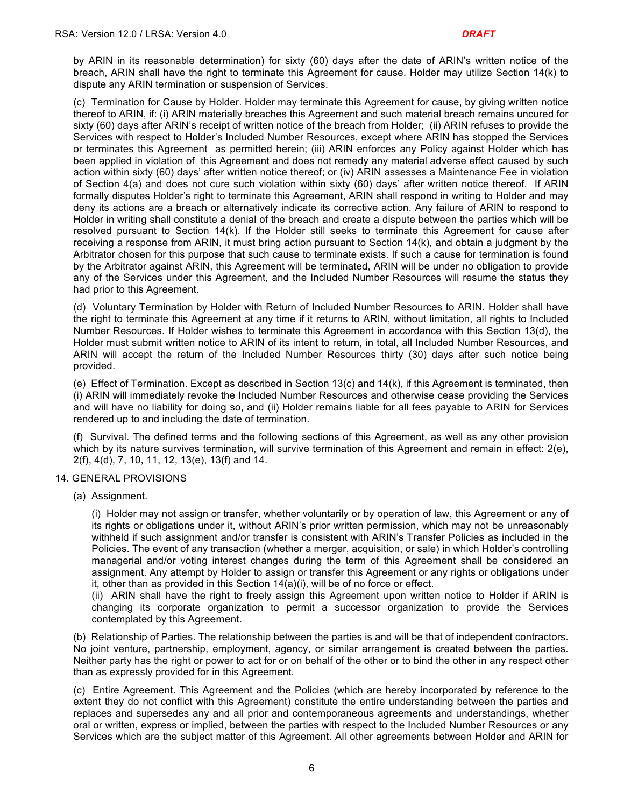by ARIN in its reasonable determination) for sixty (60) days after the date of ARIN's written notice of the breach, ARIN shall have the right to terminate this Agreement for cause. Holder may utilize Section 14(k) to dispute any ARIN termination or suspension of Services.

(c) Termination for Cause by Holder. Holder may terminate this Agreement for cause, by giving written notice thereof to ARIN, if: (i) ARIN materially breaches this Agreement and such material breach remains uncured for sixty (60) days after ARIN's receipt of written notice of the breach from Holder; (ii) ARIN refuses to provide the Services with respect to Holder's Included Number Resources, except where ARIN has stopped the Services or terminates this Agreement as permitted herein; (iii) ARIN enforces any Policy against Holder which has been applied in violation of this Agreement and does not remedy any material adverse effect caused by such action within sixty (60) days' after written notice thereof; or (iv) ARIN assesses a Maintenance Fee in violation of Section 4(a) and does not cure such violation within sixty (60) days' after written notice thereof. If ARIN formally disputes Holder's right to terminate this Agreement, ARIN shall respond in writing to Holder and may deny its actions are a breach or alternatively indicate its corrective action. Any failure of ARIN to respond to Holder in writing shall constitute a denial of the breach and create a dispute between the parties which will be resolved pursuant to Section 14(k). If the Holder still seeks to terminate this Agreement for cause after receiving a response from ARIN, it must bring action pursuant to Section 14(k), and obtain a judgment by the Arbitrator chosen for this purpose that such cause to terminate exists. If such a cause for termination is found by the Arbitrator against ARIN, this Agreement will be terminated, ARIN will be under no obligation to provide any of the Services under this Agreement, and the Included Number Resources will resume the status they had prior to this Agreement.

(d) Voluntary Termination by Holder with Return of Included Number Resources to ARIN. Holder shall have the right to terminate this Agreement at any time if it returns to ARIN, without limitation, all rights to Included Number Resources. If Holder wishes to terminate this Agreement in accordance with this Section 13(d), the Holder must submit written notice to ARIN of its intent to return, in total, all Included Number Resources, and ARIN will accept the return of the Included Number Resources thirty (30) days after such notice being provided.

(e) Effect of Termination. Except as described in Section 13(c) and 14(k), if this Agreement is terminated, then (i) ARIN will immediately revoke the Included Number Resources and otherwise cease providing the Services and will have no liability for doing so, and (ii) Holder remains liable for all fees payable to ARIN for Services rendered up to and including the date of termination.

(f) Survival. The defined terms and the following sections of this Agreement, as well as any other provision which by its nature survives termination, will survive termination of this Agreement and remain in effect: 2(e), 2(f), 4(d), 7, 10, 11, 12, 13(e), 13(f) and 14.

#### 14. GENERAL PROVISIONS

(a) Assignment.

(i) Holder may not assign or transfer, whether voluntarily or by operation of law, this Agreement or any of its rights or obligations under it, without ARIN's prior written permission, which may not be unreasonably withheld if such assignment and/or transfer is consistent with ARIN's Transfer Policies as included in the Policies. The event of any transaction (whether a merger, acquisition, or sale) in which Holder's controlling managerial and/or voting interest changes during the term of this Agreement shall be considered an assignment. Any attempt by Holder to assign or transfer this Agreement or any rights or obligations under it, other than as provided in this Section 14(a)(i), will be of no force or effect.

(ii) ARIN shall have the right to freely assign this Agreement upon written notice to Holder if ARIN is changing its corporate organization to permit a successor organization to provide the Services contemplated by this Agreement.

(b) Relationship of Parties. The relationship between the parties is and will be that of independent contractors. No joint venture, partnership, employment, agency, or similar arrangement is created between the parties. Neither party has the right or power to act for or on behalf of the other or to bind the other in any respect other than as expressly provided for in this Agreement.

(c) Entire Agreement. This Agreement and the Policies (which are hereby incorporated by reference to the extent they do not conflict with this Agreement) constitute the entire understanding between the parties and replaces and supersedes any and all prior and contemporaneous agreements and understandings, whether oral or written, express or implied, between the parties with respect to the Included Number Resources or any Services which are the subject matter of this Agreement. All other agreements between Holder and ARIN for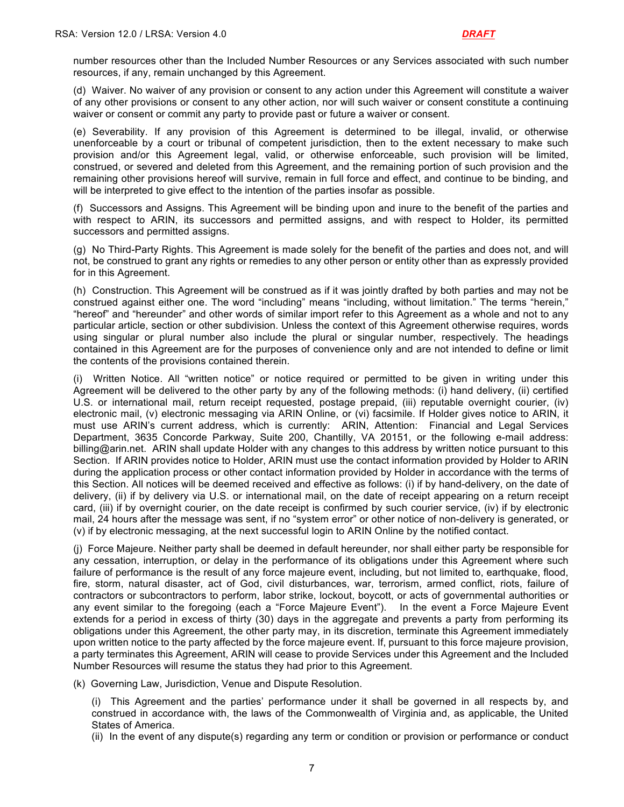number resources other than the Included Number Resources or any Services associated with such number resources, if any, remain unchanged by this Agreement.

(d) Waiver. No waiver of any provision or consent to any action under this Agreement will constitute a waiver of any other provisions or consent to any other action, nor will such waiver or consent constitute a continuing waiver or consent or commit any party to provide past or future a waiver or consent.

(e) Severability. If any provision of this Agreement is determined to be illegal, invalid, or otherwise unenforceable by a court or tribunal of competent jurisdiction, then to the extent necessary to make such provision and/or this Agreement legal, valid, or otherwise enforceable, such provision will be limited, construed, or severed and deleted from this Agreement, and the remaining portion of such provision and the remaining other provisions hereof will survive, remain in full force and effect, and continue to be binding, and will be interpreted to give effect to the intention of the parties insofar as possible.

(f) Successors and Assigns. This Agreement will be binding upon and inure to the benefit of the parties and with respect to ARIN, its successors and permitted assigns, and with respect to Holder, its permitted successors and permitted assigns.

(g) No Third-Party Rights. This Agreement is made solely for the benefit of the parties and does not, and will not, be construed to grant any rights or remedies to any other person or entity other than as expressly provided for in this Agreement.

(h) Construction. This Agreement will be construed as if it was jointly drafted by both parties and may not be construed against either one. The word "including" means "including, without limitation." The terms "herein," "hereof" and "hereunder" and other words of similar import refer to this Agreement as a whole and not to any particular article, section or other subdivision. Unless the context of this Agreement otherwise requires, words using singular or plural number also include the plural or singular number, respectively. The headings contained in this Agreement are for the purposes of convenience only and are not intended to define or limit the contents of the provisions contained therein.

(i) Written Notice. All "written notice" or notice required or permitted to be given in writing under this Agreement will be delivered to the other party by any of the following methods: (i) hand delivery, (ii) certified U.S. or international mail, return receipt requested, postage prepaid, (iii) reputable overnight courier, (iv) electronic mail, (v) electronic messaging via ARIN Online, or (vi) facsimile. If Holder gives notice to ARIN, it must use ARIN's current address, which is currently: ARIN, Attention: Financial and Legal Services Department, 3635 Concorde Parkway, Suite 200, Chantilly, VA 20151, or the following e-mail address: billing@arin.net. ARIN shall update Holder with any changes to this address by written notice pursuant to this Section. If ARIN provides notice to Holder, ARIN must use the contact information provided by Holder to ARIN during the application process or other contact information provided by Holder in accordance with the terms of this Section. All notices will be deemed received and effective as follows: (i) if by hand-delivery, on the date of delivery, (ii) if by delivery via U.S. or international mail, on the date of receipt appearing on a return receipt card, (iii) if by overnight courier, on the date receipt is confirmed by such courier service, (iv) if by electronic mail, 24 hours after the message was sent, if no "system error" or other notice of non-delivery is generated, or (v) if by electronic messaging, at the next successful login to ARIN Online by the notified contact.

(j) Force Majeure. Neither party shall be deemed in default hereunder, nor shall either party be responsible for any cessation, interruption, or delay in the performance of its obligations under this Agreement where such failure of performance is the result of any force majeure event, including, but not limited to, earthquake, flood, fire, storm, natural disaster, act of God, civil disturbances, war, terrorism, armed conflict, riots, failure of contractors or subcontractors to perform, labor strike, lockout, boycott, or acts of governmental authorities or any event similar to the foregoing (each a "Force Majeure Event"). In the event a Force Majeure Event extends for a period in excess of thirty (30) days in the aggregate and prevents a party from performing its obligations under this Agreement, the other party may, in its discretion, terminate this Agreement immediately upon written notice to the party affected by the force majeure event. If, pursuant to this force majeure provision, a party terminates this Agreement, ARIN will cease to provide Services under this Agreement and the Included Number Resources will resume the status they had prior to this Agreement.

(k) Governing Law, Jurisdiction, Venue and Dispute Resolution.

(i) This Agreement and the parties' performance under it shall be governed in all respects by, and construed in accordance with, the laws of the Commonwealth of Virginia and, as applicable, the United States of America.

(ii) In the event of any dispute(s) regarding any term or condition or provision or performance or conduct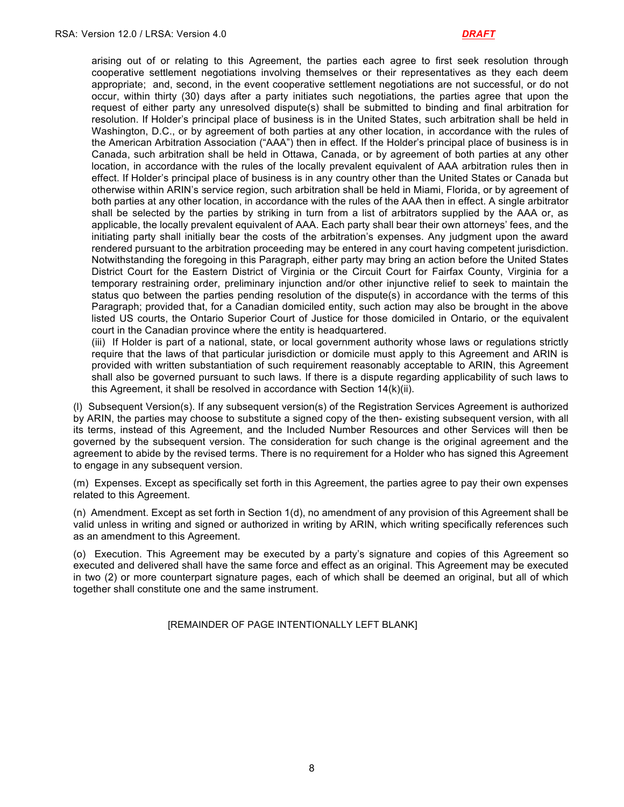arising out of or relating to this Agreement, the parties each agree to first seek resolution through cooperative settlement negotiations involving themselves or their representatives as they each deem appropriate; and, second, in the event cooperative settlement negotiations are not successful, or do not occur, within thirty (30) days after a party initiates such negotiations, the parties agree that upon the request of either party any unresolved dispute(s) shall be submitted to binding and final arbitration for resolution. If Holder's principal place of business is in the United States, such arbitration shall be held in Washington, D.C., or by agreement of both parties at any other location, in accordance with the rules of the American Arbitration Association ("AAA") then in effect. If the Holder's principal place of business is in Canada, such arbitration shall be held in Ottawa, Canada, or by agreement of both parties at any other location, in accordance with the rules of the locally prevalent equivalent of AAA arbitration rules then in effect. If Holder's principal place of business is in any country other than the United States or Canada but otherwise within ARIN's service region, such arbitration shall be held in Miami, Florida, or by agreement of both parties at any other location, in accordance with the rules of the AAA then in effect. A single arbitrator shall be selected by the parties by striking in turn from a list of arbitrators supplied by the AAA or, as applicable, the locally prevalent equivalent of AAA. Each party shall bear their own attorneys' fees, and the initiating party shall initially bear the costs of the arbitration's expenses. Any judgment upon the award rendered pursuant to the arbitration proceeding may be entered in any court having competent jurisdiction. Notwithstanding the foregoing in this Paragraph, either party may bring an action before the United States District Court for the Eastern District of Virginia or the Circuit Court for Fairfax County, Virginia for a temporary restraining order, preliminary injunction and/or other injunctive relief to seek to maintain the status quo between the parties pending resolution of the dispute(s) in accordance with the terms of this Paragraph; provided that, for a Canadian domiciled entity, such action may also be brought in the above listed US courts, the Ontario Superior Court of Justice for those domiciled in Ontario, or the equivalent court in the Canadian province where the entity is headquartered.

(iii) If Holder is part of a national, state, or local government authority whose laws or regulations strictly require that the laws of that particular jurisdiction or domicile must apply to this Agreement and ARIN is provided with written substantiation of such requirement reasonably acceptable to ARIN, this Agreement shall also be governed pursuant to such laws. If there is a dispute regarding applicability of such laws to this Agreement, it shall be resolved in accordance with Section 14(k)(ii).

(l) Subsequent Version(s). If any subsequent version(s) of the Registration Services Agreement is authorized by ARIN, the parties may choose to substitute a signed copy of the then- existing subsequent version, with all its terms, instead of this Agreement, and the Included Number Resources and other Services will then be governed by the subsequent version. The consideration for such change is the original agreement and the agreement to abide by the revised terms. There is no requirement for a Holder who has signed this Agreement to engage in any subsequent version.

(m) Expenses. Except as specifically set forth in this Agreement, the parties agree to pay their own expenses related to this Agreement.

(n) Amendment. Except as set forth in Section 1(d), no amendment of any provision of this Agreement shall be valid unless in writing and signed or authorized in writing by ARIN, which writing specifically references such as an amendment to this Agreement.

(o) Execution. This Agreement may be executed by a party's signature and copies of this Agreement so executed and delivered shall have the same force and effect as an original. This Agreement may be executed in two (2) or more counterpart signature pages, each of which shall be deemed an original, but all of which together shall constitute one and the same instrument.

[REMAINDER OF PAGE INTENTIONALLY LEFT BLANK]